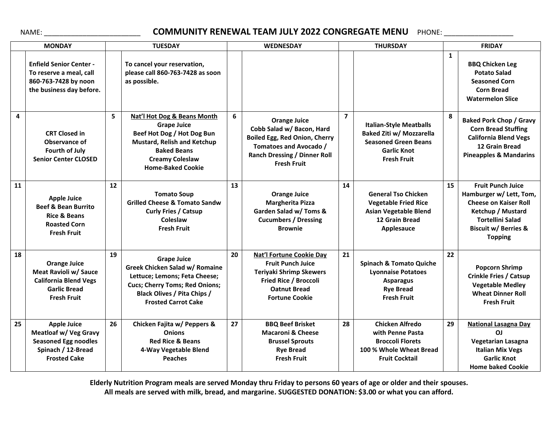## NAME: **\_\_\_\_\_\_\_\_\_\_\_\_\_\_\_\_\_\_\_\_\_\_\_\_\_\_\_ COMMUNITY RENEWAL TEAM JULY 2022 CONGREGATE MENU** PHONE: \_\_\_\_\_\_\_\_\_\_\_\_\_\_\_\_\_\_\_\_\_

| <b>MONDAY</b> |                                                                                                                                | <b>TUESDAY</b> |                                                                                                                                                                                                    | <b>WEDNESDAY</b> |                                                                                                                                                                          | <b>THURSDAY</b> |                                                                                                                                              | <b>FRIDAY</b> |                                                                                                                                                                                          |
|---------------|--------------------------------------------------------------------------------------------------------------------------------|----------------|----------------------------------------------------------------------------------------------------------------------------------------------------------------------------------------------------|------------------|--------------------------------------------------------------------------------------------------------------------------------------------------------------------------|-----------------|----------------------------------------------------------------------------------------------------------------------------------------------|---------------|------------------------------------------------------------------------------------------------------------------------------------------------------------------------------------------|
|               | <b>Enfield Senior Center -</b><br>To reserve a meal, call<br>860-763-7428 by noon<br>the business day before.                  |                | To cancel your reservation,<br>please call 860-763-7428 as soon<br>as possible.                                                                                                                    |                  |                                                                                                                                                                          |                 |                                                                                                                                              | $\mathbf{1}$  | <b>BBQ Chicken Leg</b><br><b>Potato Salad</b><br><b>Seasoned Corn</b><br><b>Corn Bread</b><br><b>Watermelon Slice</b>                                                                    |
| 4             | <b>CRT Closed in</b><br>Observance of<br><b>Fourth of July</b><br><b>Senior Center CLOSED</b>                                  | 5              | Nat'l Hot Dog & Beans Month<br><b>Grape Juice</b><br>Beef Hot Dog / Hot Dog Bun<br><b>Mustard, Relish and Ketchup</b><br><b>Baked Beans</b><br><b>Creamy Coleslaw</b><br><b>Home-Baked Cookie</b>  | 6                | <b>Orange Juice</b><br>Cobb Salad w/ Bacon, Hard<br>Boiled Egg, Red Onion, Cherry<br>Tomatoes and Avocado /<br><b>Ranch Dressing / Dinner Roll</b><br><b>Fresh Fruit</b> | $\overline{7}$  | <b>Italian-Style Meatballs</b><br><b>Baked Ziti w/ Mozzarella</b><br><b>Seasoned Green Beans</b><br><b>Garlic Knot</b><br><b>Fresh Fruit</b> | 8             | <b>Baked Pork Chop / Gravy</b><br><b>Corn Bread Stuffing</b><br><b>California Blend Vegs</b><br><b>12 Grain Bread</b><br><b>Pineapples &amp; Mandarins</b>                               |
| 11            | <b>Apple Juice</b><br><b>Beef &amp; Bean Burrito</b><br><b>Rice &amp; Beans</b><br><b>Roasted Corn</b><br><b>Fresh Fruit</b>   | 12             | <b>Tomato Soup</b><br><b>Grilled Cheese &amp; Tomato Sandw</b><br><b>Curly Fries / Catsup</b><br>Coleslaw<br><b>Fresh Fruit</b>                                                                    | 13               | <b>Orange Juice</b><br><b>Margherita Pizza</b><br>Garden Salad w/ Toms &<br><b>Cucumbers / Dressing</b><br><b>Brownie</b>                                                | 14              | <b>General Tso Chicken</b><br><b>Vegetable Fried Rice</b><br><b>Asian Vegetable Blend</b><br>12 Grain Bread<br>Applesauce                    | 15            | <b>Fruit Punch Juice</b><br>Hamburger w/ Lett, Tom,<br><b>Cheese on Kaiser Roll</b><br>Ketchup / Mustard<br><b>Tortellini Salad</b><br><b>Biscuit w/ Berries &amp;</b><br><b>Topping</b> |
| 18            | <b>Orange Juice</b><br>Meat Ravioli w/ Sauce<br><b>California Blend Vegs</b><br><b>Garlic Bread</b><br><b>Fresh Fruit</b>      | 19             | <b>Grape Juice</b><br>Greek Chicken Salad w/ Romaine<br>Lettuce; Lemons; Feta Cheese;<br><b>Cucs; Cherry Toms; Red Onions;</b><br><b>Black Olives / Pita Chips /</b><br><b>Frosted Carrot Cake</b> | 20               | <b>Nat'l Fortune Cookie Day</b><br><b>Fruit Punch Juice</b><br><b>Teriyaki Shrimp Skewers</b><br>Fried Rice / Broccoli<br><b>Oatnut Bread</b><br><b>Fortune Cookie</b>   | 21              | <b>Spinach &amp; Tomato Quiche</b><br><b>Lyonnaise Potatoes</b><br><b>Asparagus</b><br><b>Rye Bread</b><br><b>Fresh Fruit</b>                | 22            | <b>Popcorn Shrimp</b><br><b>Crinkle Fries / Catsup</b><br><b>Vegetable Medley</b><br><b>Wheat Dinner Roll</b><br><b>Fresh Fruit</b>                                                      |
| 25            | <b>Apple Juice</b><br><b>Meatloaf w/ Veg Gravy</b><br><b>Seasoned Egg noodles</b><br>Spinach / 12-Bread<br><b>Frosted Cake</b> | 26             | Chicken Fajita w/ Peppers &<br><b>Onions</b><br><b>Red Rice &amp; Beans</b><br>4-Way Vegetable Blend<br><b>Peaches</b>                                                                             | 27               | <b>BBQ Beef Brisket</b><br><b>Macaroni &amp; Cheese</b><br><b>Brussel Sprouts</b><br><b>Rye Bread</b><br><b>Fresh Fruit</b>                                              | 28              | <b>Chicken Alfredo</b><br>with Penne Pasta<br><b>Broccoli Florets</b><br>100 % Whole Wheat Bread<br><b>Fruit Cocktail</b>                    | 29            | <b>National Lasagna Day</b><br>ΟJ<br><b>Vegetarian Lasagna</b><br><b>Italian Mix Vegs</b><br><b>Garlic Knot</b><br><b>Home baked Cookie</b>                                              |

**Elderly Nutrition Program meals are served Monday thru Friday to persons 60 years of age or older and their spouses. All meals are served with milk, bread, and margarine. SUGGESTED DONATION: \$3.00 or what you can afford.**